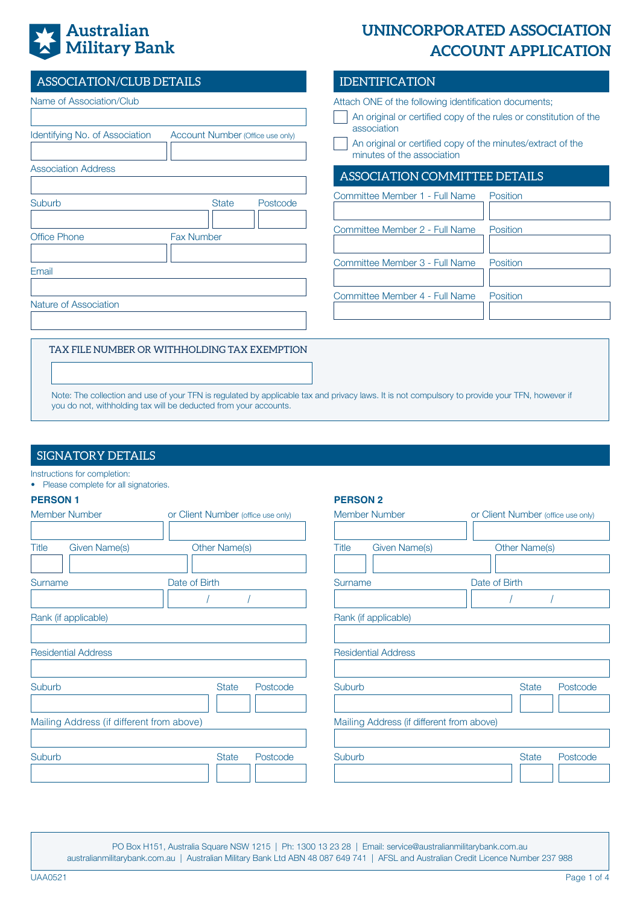# **Australian Military Bank**

# **UNINCORPORATED ASSOCIATION ACCOUNT APPLICATION**

| ASSOCIATION/CLUB DETAILS                                                                                                                                                                                                                                           | <b>IDENTIFICATION</b>                                                                                                                                                                                                                  |
|--------------------------------------------------------------------------------------------------------------------------------------------------------------------------------------------------------------------------------------------------------------------|----------------------------------------------------------------------------------------------------------------------------------------------------------------------------------------------------------------------------------------|
| Name of Association/Club<br>Identifying No. of Association<br>Account Number (Office use only)                                                                                                                                                                     | Attach ONE of the following identification documents;<br>An original or certified copy of the rules or constitution of the<br>association<br>An original or certified copy of the minutes/extract of the<br>minutes of the association |
| <b>Association Address</b>                                                                                                                                                                                                                                         | ASSOCIATION COMMITTEE DETAILS                                                                                                                                                                                                          |
| Suburb<br><b>State</b><br>Postcode                                                                                                                                                                                                                                 | Committee Member 1 - Full Name<br>Position                                                                                                                                                                                             |
| <b>Fax Number</b><br>Office Phone                                                                                                                                                                                                                                  | Committee Member 2 - Full Name<br>Position                                                                                                                                                                                             |
| Email                                                                                                                                                                                                                                                              | Committee Member 3 - Full Name<br>Position                                                                                                                                                                                             |
| Nature of Association                                                                                                                                                                                                                                              | Committee Member 4 - Full Name<br>Position                                                                                                                                                                                             |
| TAX FILE NUMBER OR WITHHOLDING TAX EXEMPTION<br>Note: The collection and use of your TFN is regulated by applicable tax and privacy laws. It is not compulsory to provide your TFN, however if<br>you do not, withholding tax will be deducted from your accounts. |                                                                                                                                                                                                                                        |

## SIGNATORY DETAILS

|  | Instructions for completion: |  |
|--|------------------------------|--|

• Please complete for all signatories.

#### **PERSON 1**

| <b>Member Number</b>                      | or Client Number (office use only) | <b>Member Number</b>                      | or Client Number (office use only) |
|-------------------------------------------|------------------------------------|-------------------------------------------|------------------------------------|
| <b>Title</b><br><b>Given Name(s)</b>      | <b>Other Name(s)</b>               | <b>Given Name(s)</b><br><b>Title</b>      | <b>Other Name(s)</b>               |
| Surname                                   | Date of Birth                      | Surname                                   | Date of Birth                      |
| Rank (if applicable)                      |                                    | Rank (if applicable)                      |                                    |
| <b>Residential Address</b>                |                                    | <b>Residential Address</b>                |                                    |
| Suburb                                    | <b>State</b><br>Postcode           | Suburb                                    | <b>State</b><br>Postcode           |
| Mailing Address (if different from above) |                                    | Mailing Address (if different from above) |                                    |
| Suburb                                    | <b>State</b><br>Postcode           | Suburb                                    | <b>State</b><br>Postcode           |

**PERSON 2**

PO Box H151, Australia Square NSW 1215 | Ph: 1300 13 23 28 | Email: service@australianmilitarybank.com.au australianmilitarybank.com.au | Australian Military Bank Ltd ABN 48 087 649 741 | AFSL and Australian Credit Licence Number 237 988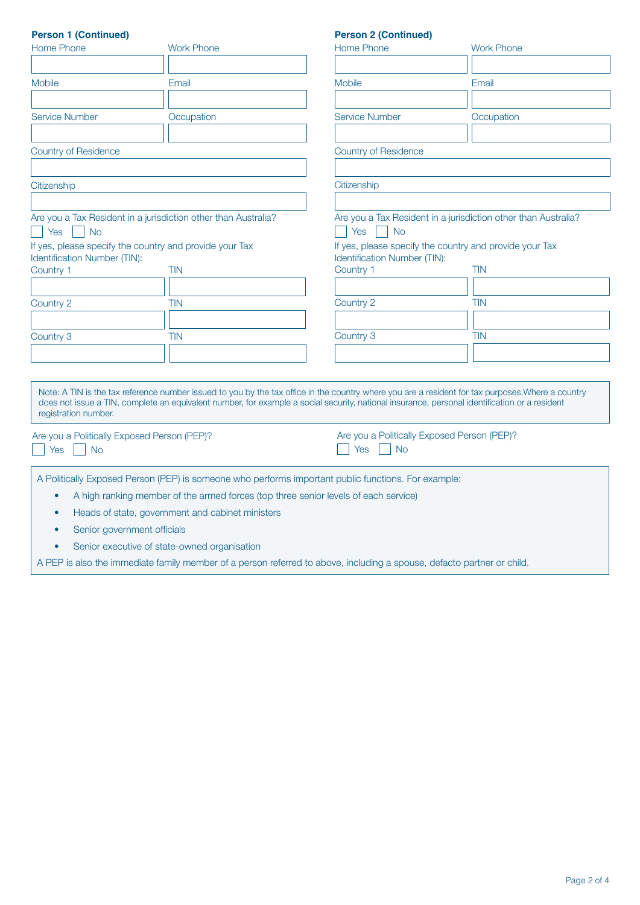| <b>Person 1 (Continued)</b>                                                                                                        |                                                                                                                                                                                                                                                                                                    | <b>Person 2 (Continued)</b>                                                        |                                                                       |  |  |
|------------------------------------------------------------------------------------------------------------------------------------|----------------------------------------------------------------------------------------------------------------------------------------------------------------------------------------------------------------------------------------------------------------------------------------------------|------------------------------------------------------------------------------------|-----------------------------------------------------------------------|--|--|
| Home Phone                                                                                                                         | <b>Work Phone</b>                                                                                                                                                                                                                                                                                  | Home Phone                                                                         | <b>Work Phone</b>                                                     |  |  |
| <b>Mobile</b>                                                                                                                      | Email                                                                                                                                                                                                                                                                                              | <b>Mobile</b>                                                                      | Email                                                                 |  |  |
| <b>Service Number</b>                                                                                                              | Occupation                                                                                                                                                                                                                                                                                         | <b>Service Number</b>                                                              | Occupation                                                            |  |  |
| <b>Country of Residence</b>                                                                                                        |                                                                                                                                                                                                                                                                                                    | <b>Country of Residence</b>                                                        |                                                                       |  |  |
| Citizenship                                                                                                                        |                                                                                                                                                                                                                                                                                                    | Citizenship                                                                        |                                                                       |  |  |
| Are you a Tax Resident in a jurisdiction other than Australia?<br>Yes<br><b>No</b>                                                 |                                                                                                                                                                                                                                                                                                    | Are you a Tax Resident in a jurisdiction other than Australia?<br>Yes<br><b>No</b> |                                                                       |  |  |
| Identification Number (TIN):<br>Country 1                                                                                          | If yes, please specify the country and provide your Tax<br><b>TIN</b>                                                                                                                                                                                                                              | Identification Number (TIN):<br>Country 1                                          | If yes, please specify the country and provide your Tax<br><b>TIN</b> |  |  |
|                                                                                                                                    |                                                                                                                                                                                                                                                                                                    |                                                                                    |                                                                       |  |  |
| Country 2                                                                                                                          | <b>TIN</b>                                                                                                                                                                                                                                                                                         | Country 2                                                                          | <b>TIN</b>                                                            |  |  |
| Country 3                                                                                                                          | <b>TIN</b>                                                                                                                                                                                                                                                                                         | Country 3                                                                          | <b>TIN</b>                                                            |  |  |
| registration number.                                                                                                               | Note: A TIN is the tax reference number issued to you by the tax office in the country where you are a resident for tax purposes. Where a country<br>does not issue a TIN, complete an equivalent number, for example a social security, national insurance, personal identification or a resident |                                                                                    |                                                                       |  |  |
| Are you a Politically Exposed Person (PEP)?<br>Are you a Politically Exposed Person (PEP)?<br>Yes<br><b>No</b><br>Yes<br><b>No</b> |                                                                                                                                                                                                                                                                                                    |                                                                                    |                                                                       |  |  |
| $\bullet$<br>٠<br>Senior government officials<br>۰                                                                                 | A Politically Exposed Person (PEP) is someone who performs important public functions. For example:<br>A high ranking member of the armed forces (top three senior levels of each service)<br>Heads of state, government and cabinet ministers                                                     |                                                                                    |                                                                       |  |  |

• Senior executive of state-owned organisation

A PEP is also the immediate family member of a person referred to above, including a spouse, defacto partner or child.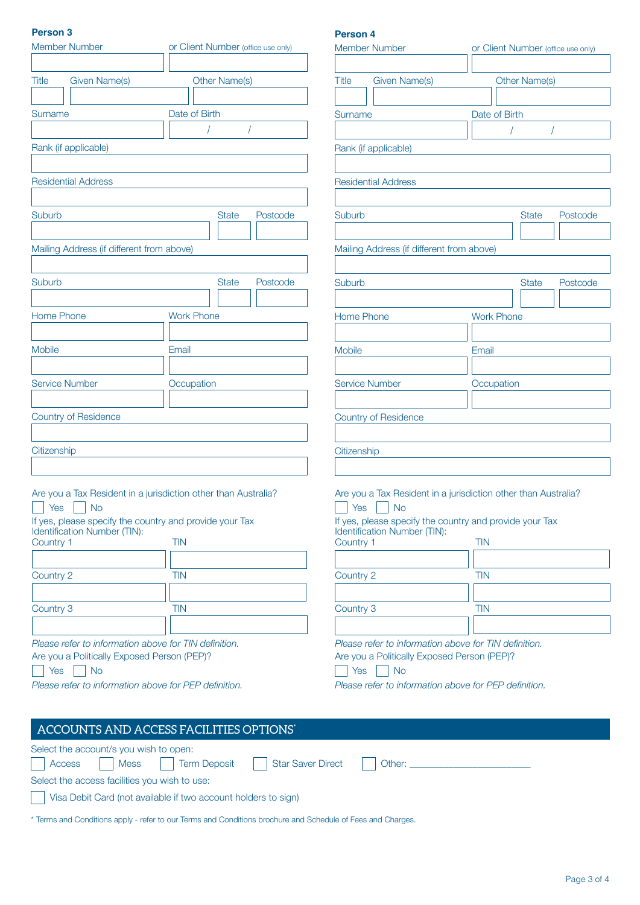#### **Person 3**

#### Are you a Tax Resident in a jurisdiction other than Australia?  $\top$  Yes  $\Box$  No If yes, please specify the country and provide your Tax Identification Number (TIN): Country 1 TIN Country 2 TIN Country 3 TIN *Please refer to information above for TIN definition.* Are you a Politically Exposed Person (PEP)?  $\bigcap$  Yes  $\bigcap$  No *Please refer to information above for PEP definition.* Are you a Tax Resident in a jurisdiction other than Australia?  $\Box$  Yes  $\Box$  No If yes, please specify the country and provide your Tax Identification Number (TIN): Country 1 TIN Country 2 TIN Country 3 TIN *Please refer to information above for TIN definition.* Are you a Politically Exposed Person (PEP)?  $\Box$  Yes  $\Box$  No *Please refer to information above for PEP definition.* Member Number **Client Number** (office use only) Title Given Name(s) Cher Name(s) Surname Date of Birth / / Rank (if applicable) Residential Address Suburb **Suburb** State Postcode Mailing Address (if different from above) Suburb **Suburb** State Postcode Home Phone **Work Phone** Mobile **Email** Service Number **Construction** Country of Residence **Citizenship Person 4** Member Number or Client Number (office use only) Title Given Name(s) Other Name(s) Surname Date of Birth / / Rank (if applicable) Residential Address Suburb State Postcode Mailing Address (if different from above) Suburb State Postcode Home Phone **Work Phone** Mobile **Email** Service Number **Occupation** Country of Residence **Citizenship**

| <b>ACCOUNTS AND ACCESS FACILITIES OPTIONS*</b>                                                              |                                                                                                                                                                                                                                |  |
|-------------------------------------------------------------------------------------------------------------|--------------------------------------------------------------------------------------------------------------------------------------------------------------------------------------------------------------------------------|--|
| Select the account/s you wish to open:                                                                      |                                                                                                                                                                                                                                |  |
| Term Deposit<br>$\vert$ Mess $\vert$ $\vert$<br>Access<br>Star Saver Direct                                 | Other: the contract of the contract of the contract of the contract of the contract of the contract of the contract of the contract of the contract of the contract of the contract of the contract of the contract of the con |  |
| Select the access facilities you wish to use:                                                               |                                                                                                                                                                                                                                |  |
| Visa Debit Card (not available if two account holders to sign)                                              |                                                                                                                                                                                                                                |  |
| * Terms and Conditions apply - refer to our Terms and Conditions brochure and Schedule of Fees and Charges. |                                                                                                                                                                                                                                |  |